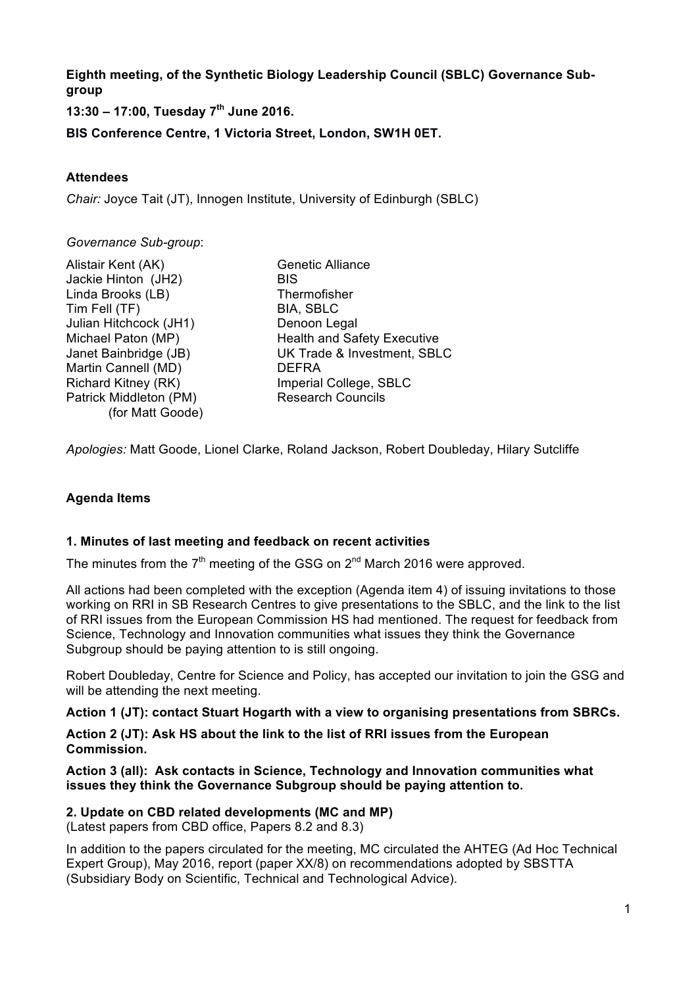**Eighth meeting, of the Synthetic Biology Leadership Council (SBLC) Governance Subgroup** 

**13:30 – 17:00, Tuesday 7th June 2016.**

**BIS Conference Centre, 1 Victoria Street, London, SW1H 0ET.** 

## **Attendees**

*Chair:* Joyce Tait (JT), Innogen Institute, University of Edinburgh (SBLC)

#### *Governance Sub-group*:

| Alistair Kent (AK)     | Ger        |
|------------------------|------------|
| Jackie Hinton (JH2)    | <b>BIS</b> |
| Linda Brooks (LB)      | The        |
| Tim Fell (TF)          | BIA        |
| Julian Hitchcock (JH1) | Der        |
| Michael Paton (MP)     | Hea        |
| Janet Bainbridge (JB)  | UK         |
| Martin Cannell (MD)    | DEI        |
| Richard Kitney (RK)    | Imp        |
| Patrick Middleton (PM) | Res        |
| (for Matt Goode)       |            |

**Thermofisher** BIA, SBLC Denoon Legal Health and Safety Executive **UK Trade & Investment, SBLC** DEFRA Imperial College, SBLC **Research Councils** 

*Apologies:* Matt Goode, Lionel Clarke, Roland Jackson, Robert Doubleday, Hilary Sutcliffe

Genetic Alliance

## **Agenda Items**

### **1. Minutes of last meeting and feedback on recent activities**

The minutes from the  $7<sup>th</sup>$  meeting of the GSG on  $2<sup>nd</sup>$  March 2016 were approved.

All actions had been completed with the exception (Agenda item 4) of issuing invitations to those working on RRI in SB Research Centres to give presentations to the SBLC, and the link to the list of RRI issues from the European Commission HS had mentioned. The request for feedback from Science, Technology and Innovation communities what issues they think the Governance Subgroup should be paying attention to is still ongoing.

Robert Doubleday, Centre for Science and Policy, has accepted our invitation to join the GSG and will be attending the next meeting.

**Action 1 (JT): contact Stuart Hogarth with a view to organising presentations from SBRCs.**

**Action 2 (JT): Ask HS about the link to the list of RRI issues from the European Commission.**

**Action 3 (all): Ask contacts in Science, Technology and Innovation communities what issues they think the Governance Subgroup should be paying attention to.**

# **2. Update on CBD related developments (MC and MP)**

(Latest papers from CBD office, Papers 8.2 and 8.3)

In addition to the papers circulated for the meeting, MC circulated the AHTEG (Ad Hoc Technical Expert Group), May 2016, report (paper XX/8) on recommendations adopted by SBSTTA (Subsidiary Body on Scientific, Technical and Technological Advice).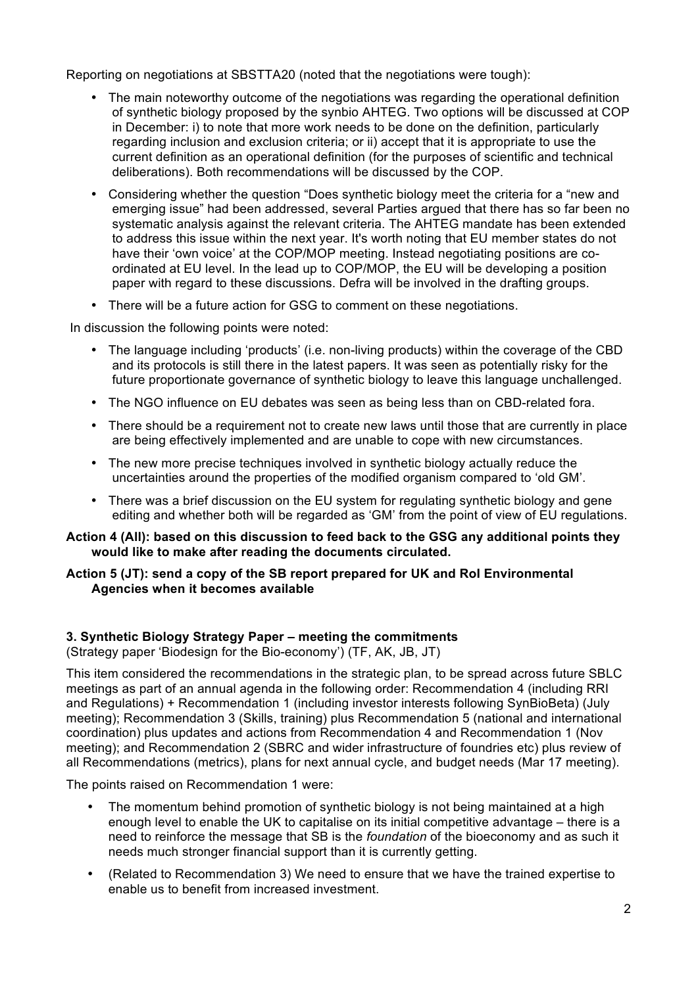Reporting on negotiations at SBSTTA20 (noted that the negotiations were tough):

- The main noteworthy outcome of the negotiations was regarding the operational definition of synthetic biology proposed by the synbio AHTEG. Two options will be discussed at COP in December: i) to note that more work needs to be done on the definition, particularly regarding inclusion and exclusion criteria; or ii) accept that it is appropriate to use the current definition as an operational definition (for the purposes of scientific and technical deliberations). Both recommendations will be discussed by the COP.
- Considering whether the question "Does synthetic biology meet the criteria for a "new and emerging issue" had been addressed, several Parties argued that there has so far been no systematic analysis against the relevant criteria. The AHTEG mandate has been extended to address this issue within the next year. It's worth noting that EU member states do not have their 'own voice' at the COP/MOP meeting. Instead negotiating positions are coordinated at EU level. In the lead up to COP/MOP, the EU will be developing a position paper with regard to these discussions. Defra will be involved in the drafting groups.
- There will be a future action for GSG to comment on these negotiations.

In discussion the following points were noted:

- The language including 'products' (i.e. non-living products) within the coverage of the CBD and its protocols is still there in the latest papers. It was seen as potentially risky for the future proportionate governance of synthetic biology to leave this language unchallenged.
- The NGO influence on EU debates was seen as being less than on CBD-related fora.
- There should be a requirement not to create new laws until those that are currently in place are being effectively implemented and are unable to cope with new circumstances.
- The new more precise techniques involved in synthetic biology actually reduce the uncertainties around the properties of the modified organism compared to 'old GM'.
- There was a brief discussion on the EU system for regulating synthetic biology and gene editing and whether both will be regarded as 'GM' from the point of view of EU regulations.

### **Action 4 (All): based on this discussion to feed back to the GSG any additional points they would like to make after reading the documents circulated.**

### **Action 5 (JT): send a copy of the SB report prepared for UK and RoI Environmental Agencies when it becomes available**

# **3. Synthetic Biology Strategy Paper – meeting the commitments**

(Strategy paper 'Biodesign for the Bio-economy') (TF, AK, JB, JT)

This item considered the recommendations in the strategic plan, to be spread across future SBLC meetings as part of an annual agenda in the following order: Recommendation 4 (including RRI and Regulations) + Recommendation 1 (including investor interests following SynBioBeta) (July meeting); Recommendation 3 (Skills, training) plus Recommendation 5 (national and international coordination) plus updates and actions from Recommendation 4 and Recommendation 1 (Nov meeting); and Recommendation 2 (SBRC and wider infrastructure of foundries etc) plus review of all Recommendations (metrics), plans for next annual cycle, and budget needs (Mar 17 meeting).

The points raised on Recommendation 1 were:

- The momentum behind promotion of synthetic biology is not being maintained at a high enough level to enable the UK to capitalise on its initial competitive advantage – there is a need to reinforce the message that SB is the *foundation* of the bioeconomy and as such it needs much stronger financial support than it is currently getting.
- (Related to Recommendation 3) We need to ensure that we have the trained expertise to enable us to benefit from increased investment.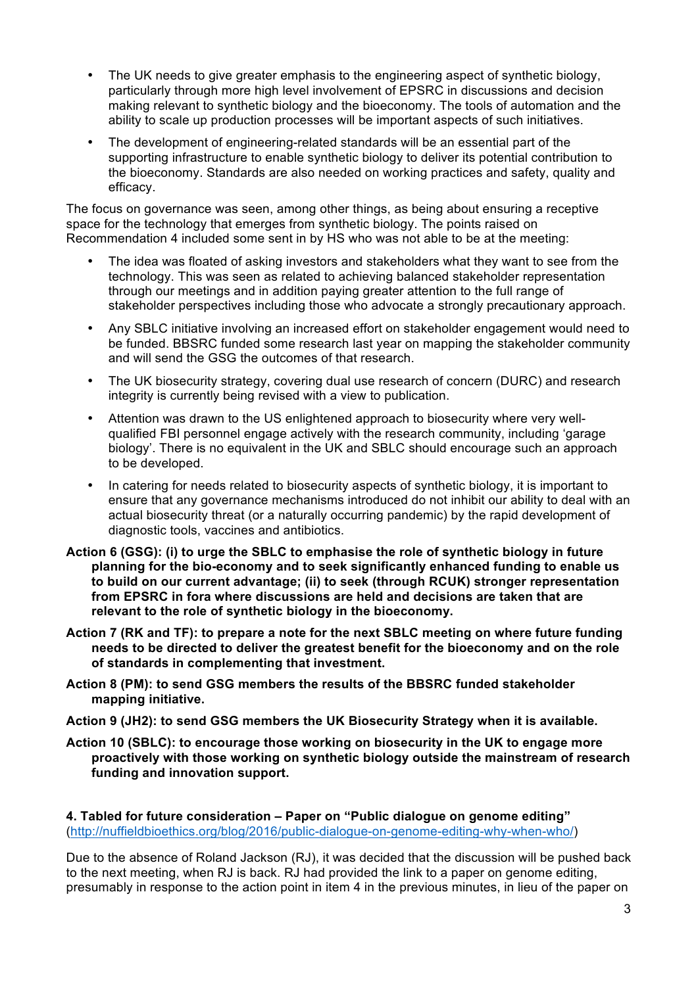- The UK needs to give greater emphasis to the engineering aspect of synthetic biology, particularly through more high level involvement of EPSRC in discussions and decision making relevant to synthetic biology and the bioeconomy. The tools of automation and the ability to scale up production processes will be important aspects of such initiatives.
- The development of engineering-related standards will be an essential part of the supporting infrastructure to enable synthetic biology to deliver its potential contribution to the bioeconomy. Standards are also needed on working practices and safety, quality and efficacy.

The focus on governance was seen, among other things, as being about ensuring a receptive space for the technology that emerges from synthetic biology. The points raised on Recommendation 4 included some sent in by HS who was not able to be at the meeting:

- The idea was floated of asking investors and stakeholders what they want to see from the technology. This was seen as related to achieving balanced stakeholder representation through our meetings and in addition paying greater attention to the full range of stakeholder perspectives including those who advocate a strongly precautionary approach.
- Any SBLC initiative involving an increased effort on stakeholder engagement would need to be funded. BBSRC funded some research last year on mapping the stakeholder community and will send the GSG the outcomes of that research.
- The UK biosecurity strategy, covering dual use research of concern (DURC) and research integrity is currently being revised with a view to publication.
- Attention was drawn to the US enlightened approach to biosecurity where very wellqualified FBI personnel engage actively with the research community, including 'garage biology'. There is no equivalent in the UK and SBLC should encourage such an approach to be developed.
- In catering for needs related to biosecurity aspects of synthetic biology, it is important to ensure that any governance mechanisms introduced do not inhibit our ability to deal with an actual biosecurity threat (or a naturally occurring pandemic) by the rapid development of diagnostic tools, vaccines and antibiotics.
- **Action 6 (GSG): (i) to urge the SBLC to emphasise the role of synthetic biology in future planning for the bio-economy and to seek significantly enhanced funding to enable us to build on our current advantage; (ii) to seek (through RCUK) stronger representation from EPSRC in fora where discussions are held and decisions are taken that are relevant to the role of synthetic biology in the bioeconomy.**
- **Action 7 (RK and TF): to prepare a note for the next SBLC meeting on where future funding needs to be directed to deliver the greatest benefit for the bioeconomy and on the role of standards in complementing that investment.**
- **Action 8 (PM): to send GSG members the results of the BBSRC funded stakeholder mapping initiative.**
- **Action 9 (JH2): to send GSG members the UK Biosecurity Strategy when it is available.**
- **Action 10 (SBLC): to encourage those working on biosecurity in the UK to engage more proactively with those working on synthetic biology outside the mainstream of research funding and innovation support.**

**4. Tabled for future consideration – Paper on "Public dialogue on genome editing"** (http://nuffieldbioethics.org/blog/2016/public-dialogue-on-genome-editing-why-when-who/)

Due to the absence of Roland Jackson (RJ), it was decided that the discussion will be pushed back to the next meeting, when RJ is back. RJ had provided the link to a paper on genome editing, presumably in response to the action point in item 4 in the previous minutes, in lieu of the paper on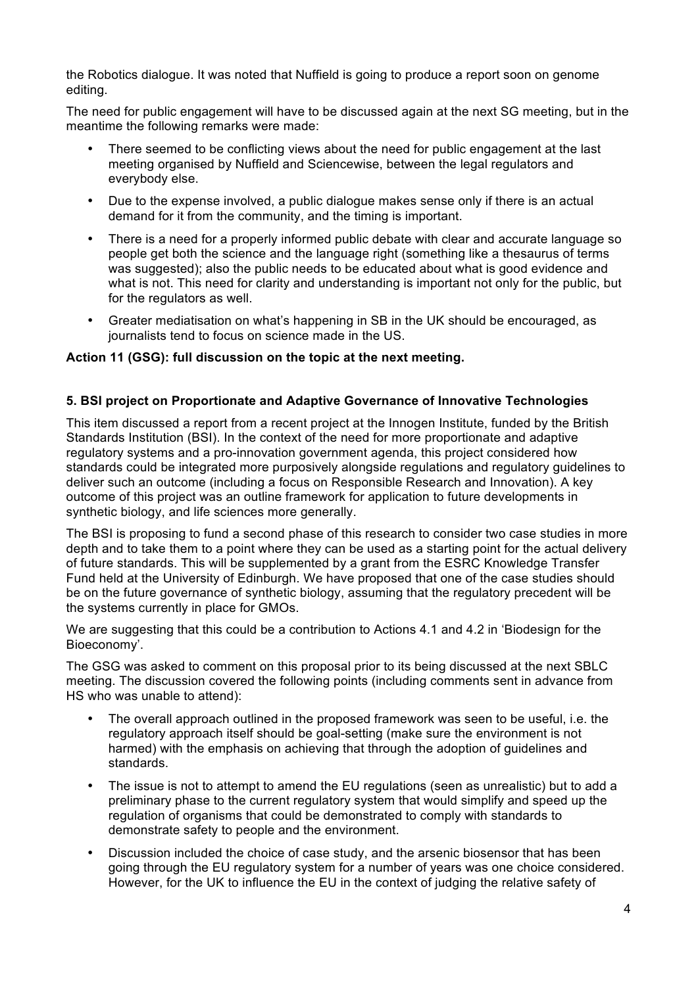the Robotics dialogue. It was noted that Nuffield is going to produce a report soon on genome editing.

The need for public engagement will have to be discussed again at the next SG meeting, but in the meantime the following remarks were made:

- There seemed to be conflicting views about the need for public engagement at the last meeting organised by Nuffield and Sciencewise, between the legal regulators and everybody else.
- Due to the expense involved, a public dialogue makes sense only if there is an actual demand for it from the community, and the timing is important.
- There is a need for a properly informed public debate with clear and accurate language so people get both the science and the language right (something like a thesaurus of terms was suggested); also the public needs to be educated about what is good evidence and what is not. This need for clarity and understanding is important not only for the public, but for the regulators as well.
- Greater mediatisation on what's happening in SB in the UK should be encouraged, as journalists tend to focus on science made in the US.

### **Action 11 (GSG): full discussion on the topic at the next meeting.**

### **5. BSI project on Proportionate and Adaptive Governance of Innovative Technologies**

This item discussed a report from a recent project at the Innogen Institute, funded by the British Standards Institution (BSI). In the context of the need for more proportionate and adaptive regulatory systems and a pro-innovation government agenda, this project considered how standards could be integrated more purposively alongside regulations and regulatory guidelines to deliver such an outcome (including a focus on Responsible Research and Innovation). A key outcome of this project was an outline framework for application to future developments in synthetic biology, and life sciences more generally.

The BSI is proposing to fund a second phase of this research to consider two case studies in more depth and to take them to a point where they can be used as a starting point for the actual delivery of future standards. This will be supplemented by a grant from the ESRC Knowledge Transfer Fund held at the University of Edinburgh. We have proposed that one of the case studies should be on the future governance of synthetic biology, assuming that the regulatory precedent will be the systems currently in place for GMOs.

We are suggesting that this could be a contribution to Actions 4.1 and 4.2 in 'Biodesign for the Bioeconomy'.

The GSG was asked to comment on this proposal prior to its being discussed at the next SBLC meeting. The discussion covered the following points (including comments sent in advance from HS who was unable to attend):

- The overall approach outlined in the proposed framework was seen to be useful, i.e. the regulatory approach itself should be goal-setting (make sure the environment is not harmed) with the emphasis on achieving that through the adoption of guidelines and standards.
- The issue is not to attempt to amend the EU regulations (seen as unrealistic) but to add a preliminary phase to the current regulatory system that would simplify and speed up the regulation of organisms that could be demonstrated to comply with standards to demonstrate safety to people and the environment.
- Discussion included the choice of case study, and the arsenic biosensor that has been going through the EU regulatory system for a number of years was one choice considered. However, for the UK to influence the EU in the context of judging the relative safety of